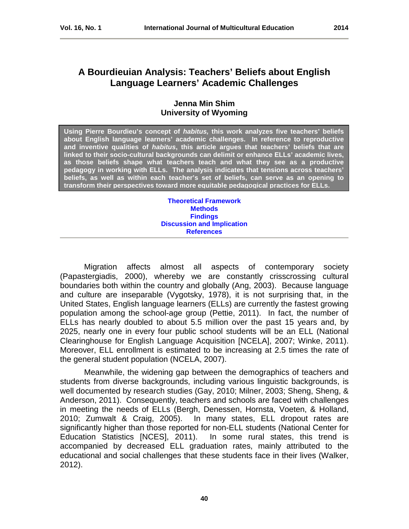# **Jenna Min Shim University of Wyoming**

**Using Pierre Bourdieu's concept of** *habitus***, this work analyzes five teachers' beliefs** about English language learners' academic challenges. In reference to reproductive and inventive qualities of *habitus*, this article argues that teachers' beliefs that are **their socio-cultural backgrounds can delimit or enhance ELLs' academic lives, as those linked to their socio-cultural backgrounds can delimit or enhance ELLs' academic lives, beliefs shape what teachers teach and what they see as a productive pedagogy in working as those beliefs shape what teachers teach and what they see as a productive with ELLs. The analysis indicates that tensions across teachers' beliefs, as well as within pedagogy in working with ELLs. The analysis indicates that tensions across teachers'**  beliefs, as well as within each teacher's set of beliefs, can serve as an opening to **toward more equitable pedagogical practices for ELLs. transform their perspectives toward more equitable pedagogical practices for ELLs.**

> **[Theoretical Framework](#page-1-0) [Methods](#page-5-0) [Findings](#page-5-1) [Discussion and Implication](#page-10-0) [References](#page-12-0)**

Migration affects almost all aspects of contemporary society (Papastergiadis, 2000), whereby we are constantly crisscrossing cultural boundaries both within the country and globally (Ang, 2003). Because language and culture are inseparable (Vygotsky, 1978), it is not surprising that, in the United States, English language learners (ELLs) are currently the fastest growing population among the school-age group (Pettie, 2011). In fact, the number of ELLs has nearly doubled to about 5.5 million over the past 15 years and, by 2025, nearly one in every four public school students will be an ELL (National Clearinghouse for English Language Acquisition [NCELA], 2007; Winke, 2011). Moreover, ELL enrollment is estimated to be increasing at 2.5 times the rate of the general student population (NCELA, 2007).

Meanwhile, the widening gap between the demographics of teachers and students from diverse backgrounds, including various linguistic backgrounds, is well documented by research studies (Gay, 2010; Milner, 2003; Sheng, Sheng, & Anderson, 2011). Consequently, teachers and schools are faced with challenges in meeting the needs of ELLs (Bergh, Denessen, Hornsta, Voeten, & Holland, 2010; Zumwalt & Craig, 2005). In many states, ELL dropout rates are significantly higher than those reported for non-ELL students (National Center for Education Statistics [NCES], 2011). In some rural states, this trend is accompanied by decreased ELL graduation rates, mainly attributed to the educational and social challenges that these students face in their lives (Walker, 2012).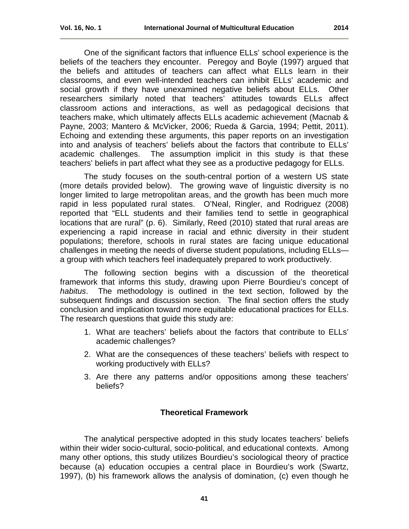One of the significant factors that influence ELLs' school experience is the beliefs of the teachers they encounter. Peregoy and Boyle (1997) argued that the beliefs and attitudes of teachers can affect what ELLs learn in their classrooms, and even well-intended teachers can inhibit ELLs' academic and social growth if they have unexamined negative beliefs about ELLs. Other researchers similarly noted that teachers' attitudes towards ELLs affect classroom actions and interactions, as well as pedagogical decisions that teachers make, which ultimately affects ELLs academic achievement (Macnab & Payne, 2003; Mantero & McVicker, 2006; Rueda & Garcia, 1994; Pettit, 2011). Echoing and extending these arguments, this paper reports on an investigation into and analysis of teachers' beliefs about the factors that contribute to ELLs' academic challenges. The assumption implicit in this study is that these teachers' beliefs in part affect what they see as a productive pedagogy for ELLs.

The study focuses on the south-central portion of a western US state (more details provided below). The growing wave of linguistic diversity is no longer limited to large metropolitan areas, and the growth has been much more rapid in less populated rural states. O'Neal, Ringler, and Rodriguez (2008) reported that "ELL students and their families tend to settle in geographical locations that are rural" (p. 6). Similarly, Reed (2010) stated that rural areas are experiencing a rapid increase in racial and ethnic diversity in their student populations; therefore, schools in rural states are facing unique educational challenges in meeting the needs of diverse student populations, including ELLs a group with which teachers feel inadequately prepared to work productively.

The following section begins with a discussion of the theoretical framework that informs this study, drawing upon Pierre Bourdieu's concept of *habitus*. The methodology is outlined in the text section, followed by the subsequent findings and discussion section. The final section offers the study conclusion and implication toward more equitable educational practices for ELLs. The research questions that guide this study are:

- 1. What are teachers' beliefs about the factors that contribute to ELLs' academic challenges?
- 2. What are the consequences of these teachers' beliefs with respect to working productively with ELLs?
- 3. Are there any patterns and/or oppositions among these teachers' beliefs?

## **Theoretical Framework**

<span id="page-1-0"></span>The analytical perspective adopted in this study locates teachers' beliefs within their wider socio-cultural, socio-political, and educational contexts. Among many other options, this study utilizes Bourdieu's sociological theory of practice because (a) education occupies a central place in Bourdieu's work (Swartz, 1997), (b) his framework allows the analysis of domination, (c) even though he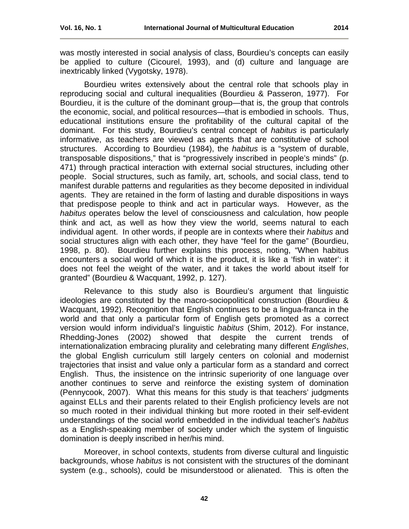was mostly interested in social analysis of class, Bourdieu's concepts can easily be applied to culture (Cicourel, 1993), and (d) culture and language are inextricably linked (Vygotsky, 1978).

Bourdieu writes extensively about the central role that schools play in reproducing social and cultural inequalities (Bourdieu & Passeron, 1977). For Bourdieu, it is the culture of the dominant group—that is, the group that controls the economic, social, and political resources—that is embodied in schools. Thus, educational institutions ensure the profitability of the cultural capital of the dominant. For this study, Bourdieu's central concept of *habitus* is particularly informative, as teachers are viewed as agents that are constitutive of school structures. According to Bourdieu (1984), the *habitus* is a "system of durable, transposable dispositions," that is "progressively inscribed in people's minds" (p. 471) through practical interaction with external social structures, including other people. Social structures, such as family, art, schools, and social class, tend to manifest durable patterns and regularities as they become deposited in individual agents. They are retained in the form of lasting and durable dispositions in ways that predispose people to think and act in particular ways. However, as the *habitus* operates below the level of consciousness and calculation, how people think and act, as well as how they view the world, seems natural to each individual agent. In other words, if people are in contexts where their *habitus* and social structures align with each other, they have "feel for the game" (Bourdieu, 1998, p. 80). Bourdieu further explains this process, noting, "When habitus encounters a social world of which it is the product, it is like a 'fish in water': it does not feel the weight of the water, and it takes the world about itself for granted" (Bourdieu & Wacquant, 1992, p. 127).

Relevance to this study also is Bourdieu's argument that linguistic ideologies are constituted by the macro-sociopolitical construction (Bourdieu & Wacquant, 1992). Recognition that English continues to be a lingua-franca in the world and that only a particular form of English gets promoted as a correct version would inform individual's linguistic *habitus* (Shim, 2012). For instance, Rhedding-Jones (2002) showed that despite the current trends of internationalization embracing plurality and celebrating many different *Englishes*, the global English curriculum still largely centers on colonial and modernist trajectories that insist and value only a particular form as a standard and correct English. Thus, the insistence on the intrinsic superiority of one language over another continues to serve and reinforce the existing system of domination (Pennycook, 2007). What this means for this study is that teachers' judgments against ELLs and their parents related to their English proficiency levels are not so much rooted in their individual thinking but more rooted in their self-evident understandings of the social world embedded in the individual teacher's *habitus* as a English-speaking member of society under which the system of linguistic domination is deeply inscribed in her/his mind.

Moreover, in school contexts, students from diverse cultural and linguistic backgrounds, whose *habitus* is not consistent with the structures of the dominant system (e.g., schools), could be misunderstood or alienated. This is often the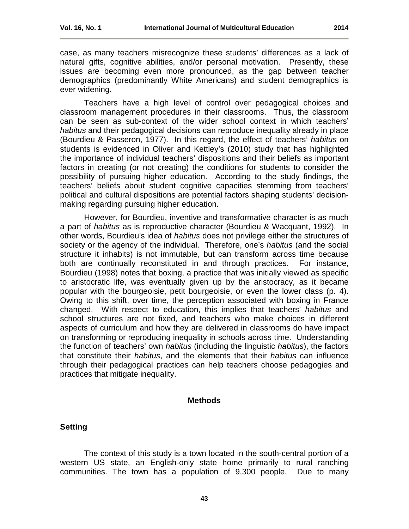case, as many teachers misrecognize these students' differences as a lack of natural gifts, cognitive abilities, and/or personal motivation. Presently, these issues are becoming even more pronounced, as the gap between teacher demographics (predominantly White Americans) and student demographics is ever widening.

Teachers have a high level of control over pedagogical choices and classroom management procedures in their classrooms. Thus, the classroom can be seen as sub-context of the wider school context in which teachers' *habitus* and their pedagogical decisions can reproduce inequality already in place (Bourdieu & Passeron, 1977). In this regard, the effect of teachers' *habitus* on students is evidenced in Oliver and Kettley's (2010) study that has highlighted the importance of individual teachers' dispositions and their beliefs as important factors in creating (or not creating) the conditions for students to consider the possibility of pursuing higher education. According to the study findings, the teachers' beliefs about student cognitive capacities stemming from teachers' political and cultural dispositions are potential factors shaping students' decisionmaking regarding pursuing higher education.

However, for Bourdieu, inventive and transformative character is as much a part of *habitus* as is reproductive character (Bourdieu & Wacquant, 1992). In other words, Bourdieu's idea of *habitus* does not privilege either the structures of society or the agency of the individual. Therefore, one's *habitus* (and the social structure it inhabits) is not immutable, but can transform across time because both are continually reconstituted in and through practices. For instance, Bourdieu (1998) notes that boxing, a practice that was initially viewed as specific to aristocratic life, was eventually given up by the aristocracy, as it became popular with the bourgeoisie, petit bourgeoisie, or even the lower class (p. 4). Owing to this shift, over time, the perception associated with boxing in France changed. With respect to education, this implies that teachers' *habitus* and school structures are not fixed, and teachers who make choices in different aspects of curriculum and how they are delivered in classrooms do have impact on transforming or reproducing inequality in schools across time. Understanding the function of teachers' own *habitus* (including the linguistic *habitus*), the factors that constitute their *habitus*, and the elements that their *habitus* can influence through their pedagogical practices can help teachers choose pedagogies and practices that mitigate inequality.

#### **Methods**

## **Setting**

The context of this study is a town located in the south-central portion of a western US state, an English-only state home primarily to rural ranching communities. The town has a population of 9,300 people. Due to many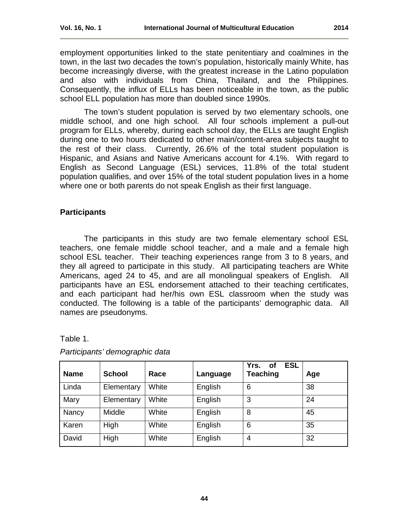The town's student population is served by two elementary schools, one middle school, and one high school. All four schools implement a pull-out program for ELLs, whereby, during each school day, the ELLs are taught English during one to two hours dedicated to other main/content-area subjects taught to the rest of their class. Currently, 26.6% of the total student population is Hispanic, and Asians and Native Americans account for 4.1%. With regard to English as Second Language (ESL) services, 11.8% of the total student population qualifies, and over 15% of the total student population lives in a home where one or both parents do not speak English as their first language.

# **Participants**

The participants in this study are two female elementary school ESL teachers, one female middle school teacher, and a male and a female high school ESL teacher. Their teaching experiences range from 3 to 8 years, and they all agreed to participate in this study. All participating teachers are White Americans, aged 24 to 45, and are all monolingual speakers of English. All participants have an ESL endorsement attached to their teaching certificates, and each participant had her/his own ESL classroom when the study was conducted. The following is a table of the participants' demographic data. All names are pseudonyms.

Table 1.

| <b>Name</b> | <b>School</b> | Race  | Language | Yrs.<br><b>ESL</b><br><b>of</b><br><b>Teaching</b> | Age |
|-------------|---------------|-------|----------|----------------------------------------------------|-----|
| Linda       | Elementary    | White | English  | 6                                                  | 38  |
| Mary        | Elementary    | White | English  | 3                                                  | 24  |
| Nancy       | Middle        | White | English  | 8                                                  | 45  |
| Karen       | High          | White | English  | 6                                                  | 35  |
| David       | High          | White | English  | 4                                                  | 32  |

*Participants' demographic data*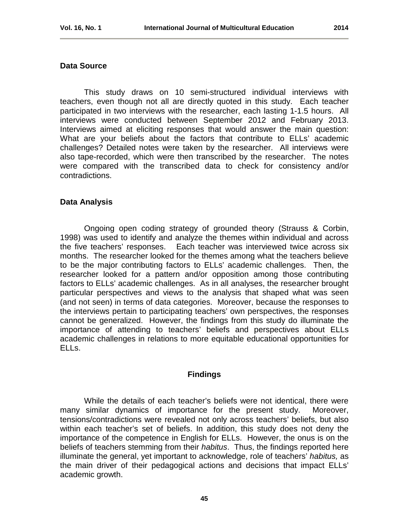## **Data Source**

This study draws on 10 semi-structured individual interviews with teachers, even though not all are directly quoted in this study. Each teacher participated in two interviews with the researcher, each lasting 1-1.5 hours. All interviews were conducted between September 2012 and February 2013. Interviews aimed at eliciting responses that would answer the main question: What are your beliefs about the factors that contribute to ELLs' academic challenges? Detailed notes were taken by the researcher. All interviews were also tape-recorded, which were then transcribed by the researcher. The notes were compared with the transcribed data to check for consistency and/or contradictions.

## **Data Analysis**

Ongoing open coding strategy of grounded theory (Strauss & Corbin, 1998) was used to identify and analyze the themes within individual and across the five teachers' responses. Each teacher was interviewed twice across six months. The researcher looked for the themes among what the teachers believe to be the major contributing factors to ELLs' academic challenges. Then, the researcher looked for a pattern and/or opposition among those contributing factors to ELLs' academic challenges. As in all analyses, the researcher brought particular perspectives and views to the analysis that shaped what was seen (and not seen) in terms of data categories. Moreover, because the responses to the interviews pertain to participating teachers' own perspectives, the responses cannot be generalized. However, the findings from this study do illuminate the importance of attending to teachers' beliefs and perspectives about ELLs academic challenges in relations to more equitable educational opportunities for ELLs.

# **Findings**

<span id="page-5-1"></span><span id="page-5-0"></span>While the details of each teacher's beliefs were not identical, there were many similar dynamics of importance for the present study. Moreover, tensions/contradictions were revealed not only across teachers' beliefs, but also within each teacher's set of beliefs. In addition, this study does not deny the importance of the competence in English for ELLs. However, the onus is on the beliefs of teachers stemming from their *habitus*. Thus, the findings reported here illuminate the general, yet important to acknowledge, role of teachers' *habitus,* as the main driver of their pedagogical actions and decisions that impact ELLs' academic growth.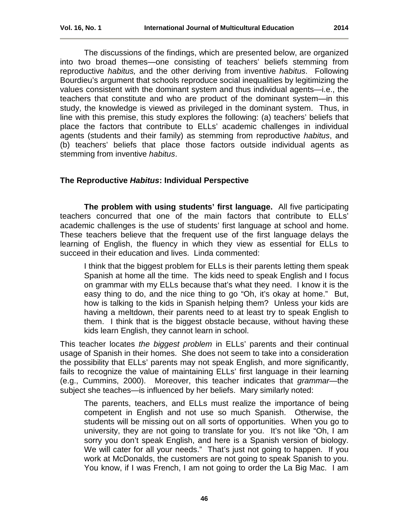The discussions of the findings, which are presented below, are organized into two broad themes—one consisting of teachers' beliefs stemming from reproductive *habitus,* and the other deriving from inventive *habitus*. Following Bourdieu's argument that schools reproduce social inequalities by legitimizing the values consistent with the dominant system and thus individual agents—i.e., the teachers that constitute and who are product of the dominant system—in this study, the knowledge is viewed as privileged in the dominant system. Thus, in line with this premise, this study explores the following: (a) teachers' beliefs that place the factors that contribute to ELLs' academic challenges in individual agents (students and their family) as stemming from reproductive *habitus*, and (b) teachers' beliefs that place those factors outside individual agents as stemming from inventive *habitus*.

## **The Reproductive** *Habitus***: Individual Perspective**

**The problem with using students' first language.** All five participating teachers concurred that one of the main factors that contribute to ELLs' academic challenges is the use of students' first language at school and home. These teachers believe that the frequent use of the first language delays the learning of English, the fluency in which they view as essential for ELLs to succeed in their education and lives. Linda commented:

I think that the biggest problem for ELLs is their parents letting them speak Spanish at home all the time. The kids need to speak English and I focus on grammar with my ELLs because that's what they need. I know it is the easy thing to do, and the nice thing to go "Oh, it's okay at home." But, how is talking to the kids in Spanish helping them? Unless your kids are having a meltdown, their parents need to at least try to speak English to them. I think that is the biggest obstacle because, without having these kids learn English, they cannot learn in school.

This teacher locates *the biggest problem* in ELLs' parents and their continual usage of Spanish in their homes. She does not seem to take into a consideration the possibility that ELLs' parents may not speak English, and more significantly, fails to recognize the value of maintaining ELLs' first language in their learning (e.g., Cummins, 2000). Moreover, this teacher indicates that *grammar*—the subject she teaches—is influenced by her beliefs. Mary similarly noted:

The parents, teachers, and ELLs must realize the importance of being competent in English and not use so much Spanish. Otherwise, the students will be missing out on all sorts of opportunities. When you go to university, they are not going to translate for you. It's not like "Oh, I am sorry you don't speak English, and here is a Spanish version of biology. We will cater for all your needs." That's just not going to happen. If you work at McDonalds, the customers are not going to speak Spanish to you. You know, if I was French, I am not going to order the La Big Mac. I am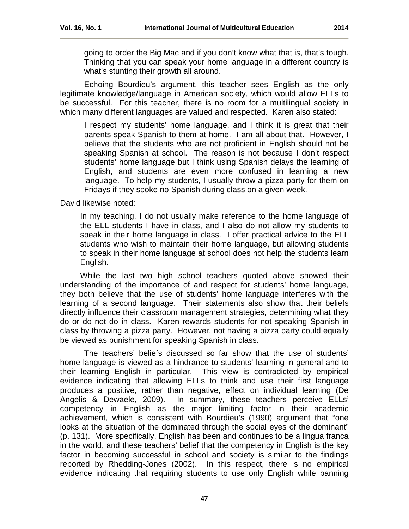Echoing Bourdieu's argument, this teacher sees English as the only legitimate knowledge/language in American society, which would allow ELLs to be successful. For this teacher, there is no room for a multilingual society in which many different languages are valued and respected. Karen also stated:

I respect my students' home language, and I think it is great that their parents speak Spanish to them at home. I am all about that. However, I believe that the students who are not proficient in English should not be speaking Spanish at school. The reason is not because I don't respect students' home language but I think using Spanish delays the learning of English, and students are even more confused in learning a new language. To help my students, I usually throw a pizza party for them on Fridays if they spoke no Spanish during class on a given week.

David likewise noted:

In my teaching, I do not usually make reference to the home language of the ELL students I have in class, and I also do not allow my students to speak in their home language in class. I offer practical advice to the ELL students who wish to maintain their home language, but allowing students to speak in their home language at school does not help the students learn English.

While the last two high school teachers quoted above showed their understanding of the importance of and respect for students' home language, they both believe that the use of students' home language interferes with the learning of a second language. Their statements also show that their beliefs directly influence their classroom management strategies, determining what they do or do not do in class. Karen rewards students for not speaking Spanish in class by throwing a pizza party. However, not having a pizza party could equally be viewed as punishment for speaking Spanish in class.

The teachers' beliefs discussed so far show that the use of students' home language is viewed as a hindrance to students' learning in general and to their learning English in particular. This view is contradicted by empirical evidence indicating that allowing ELLs to think and use their first language produces a positive, rather than negative, effect on individual learning (De Angelis & Dewaele, 2009). In summary, these teachers perceive ELLs' competency in English as the major limiting factor in their academic achievement, which is consistent with Bourdieu's (1990) argument that "one looks at the situation of the dominated through the social eyes of the dominant" (p. 131). More specifically, English has been and continues to be a lingua franca in the world, and these teachers' belief that the competency in English is the key factor in becoming successful in school and society is similar to the findings reported by Rhedding-Jones (2002). In this respect, there is no empirical evidence indicating that requiring students to use only English while banning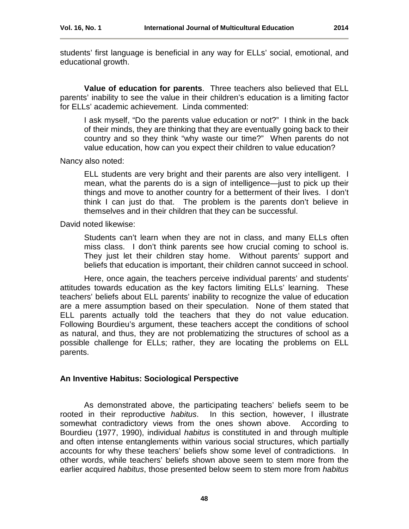students' first language is beneficial in any way for ELLs' social, emotional, and educational growth.

**Value of education for parents**. Three teachers also believed that ELL parents' inability to see the value in their children's education is a limiting factor for ELLs' academic achievement. Linda commented:

I ask myself, "Do the parents value education or not?" I think in the back of their minds, they are thinking that they are eventually going back to their country and so they think "why waste our time?" When parents do not value education, how can you expect their children to value education?

Nancy also noted:

ELL students are very bright and their parents are also very intelligent. I mean, what the parents do is a sign of intelligence—just to pick up their things and move to another country for a betterment of their lives. I don't think I can just do that. The problem is the parents don't believe in themselves and in their children that they can be successful.

David noted likewise:

Students can't learn when they are not in class, and many ELLs often miss class. I don't think parents see how crucial coming to school is. They just let their children stay home. Without parents' support and beliefs that education is important, their children cannot succeed in school.

Here, once again, the teachers perceive individual parents' and students' attitudes towards education as the key factors limiting ELLs' learning. These teachers' beliefs about ELL parents' inability to recognize the value of education are a mere assumption based on their speculation. None of them stated that ELL parents actually told the teachers that they do not value education. Following Bourdieu's argument, these teachers accept the conditions of school as natural, and thus, they are not problematizing the structures of school as a possible challenge for ELLs; rather, they are locating the problems on ELL parents.

### **An Inventive Habitus: Sociological Perspective**

As demonstrated above, the participating teachers' beliefs seem to be rooted in their reproductive *habitus*.In this section, however, I illustrate somewhat contradictory views from the ones shown above. According to Bourdieu (1977, 1990), individual *habitus* is constituted in and through multiple and often intense entanglements within various social structures, which partially accounts for why these teachers' beliefs show some level of contradictions. In other words, while teachers' beliefs shown above seem to stem more from the earlier acquired *habitus*, those presented below seem to stem more from *habitus*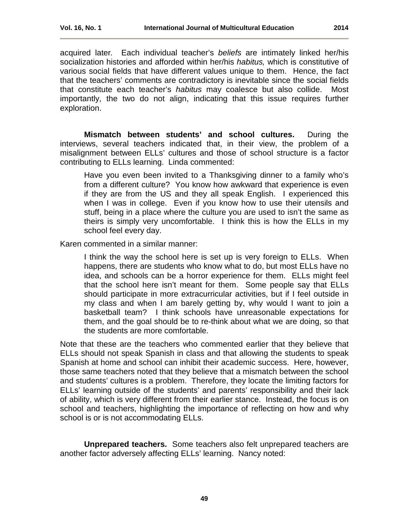acquired later*.* Each individual teacher's *beliefs* are intimately linked her/his socialization histories and afforded within her/his *habitus,* which is constitutive of various social fields that have different values unique to them. Hence, the fact that the teachers' comments are contradictory is inevitable since the social fields that constitute each teacher's *habitus* may coalesce but also collide. Most importantly, the two do not align, indicating that this issue requires further exploration.

**Mismatch between students' and school cultures.** During the interviews, several teachers indicated that, in their view, the problem of a misalignment between ELLs' cultures and those of school structure is a factor contributing to ELLs learning. Linda commented:

Have you even been invited to a Thanksgiving dinner to a family who's from a different culture? You know how awkward that experience is even if they are from the US and they all speak English. I experienced this when I was in college. Even if you know how to use their utensils and stuff, being in a place where the culture you are used to isn't the same as theirs is simply very uncomfortable. I think this is how the ELLs in my school feel every day.

Karen commented in a similar manner:

I think the way the school here is set up is very foreign to ELLs. When happens, there are students who know what to do, but most ELLs have no idea, and schools can be a horror experience for them. ELLs might feel that the school here isn't meant for them. Some people say that ELLs should participate in more extracurricular activities, but if I feel outside in my class and when I am barely getting by, why would I want to join a basketball team? I think schools have unreasonable expectations for them, and the goal should be to re-think about what we are doing, so that the students are more comfortable.

Note that these are the teachers who commented earlier that they believe that ELLs should not speak Spanish in class and that allowing the students to speak Spanish at home and school can inhibit their academic success. Here, however, those same teachers noted that they believe that a mismatch between the school and students' cultures is a problem. Therefore, they locate the limiting factors for ELLs' learning outside of the students' and parents' responsibility and their lack of ability, which is very different from their earlier stance. Instead, the focus is on school and teachers, highlighting the importance of reflecting on how and why school is or is not accommodating ELLs.

**Unprepared teachers.** Some teachers also felt unprepared teachers are another factor adversely affecting ELLs' learning. Nancy noted: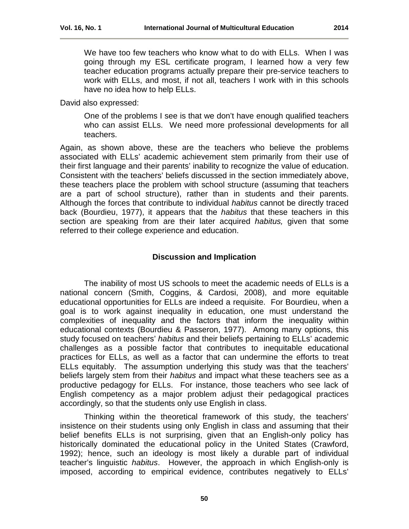David also expressed:

One of the problems I see is that we don't have enough qualified teachers who can assist ELLs. We need more professional developments for all teachers.

Again, as shown above, these are the teachers who believe the problems associated with ELLs' academic achievement stem primarily from their use of their first language and their parents' inability to recognize the value of education. Consistent with the teachers' beliefs discussed in the section immediately above, these teachers place the problem with school structure (assuming that teachers are a part of school structure), rather than in students and their parents. Although the forces that contribute to individual *habitus* cannot be directly traced back (Bourdieu, 1977), it appears that the *habitus* that these teachers in this section are speaking from are their later acquired *habitus,* given that some referred to their college experience and education.

# **Discussion and Implication**

<span id="page-10-0"></span>The inability of most US schools to meet the academic needs of ELLs is a national concern (Smith, Coggins, & Cardosi, 2008), and more equitable educational opportunities for ELLs are indeed a requisite. For Bourdieu, when a goal is to work against inequality in education, one must understand the complexities of inequality and the factors that inform the inequality within educational contexts (Bourdieu & Passeron, 1977). Among many options, this study focused on teachers' *habitus* and their beliefs pertaining to ELLs' academic challenges as a possible factor that contributes to inequitable educational practices for ELLs, as well as a factor that can undermine the efforts to treat ELLs equitably. The assumption underlying this study was that the teachers' beliefs largely stem from their *habitus* and impact what these teachers see as a productive pedagogy for ELLs. For instance, those teachers who see lack of English competency as a major problem adjust their pedagogical practices accordingly, so that the students only use English in class.

Thinking within the theoretical framework of this study, the teachers' insistence on their students using only English in class and assuming that their belief benefits ELLs is not surprising, given that an English-only policy has historically dominated the educational policy in the United States (Crawford, 1992); hence, such an ideology is most likely a durable part of individual teacher's linguistic *habitus*. However, the approach in which English-only is imposed, according to empirical evidence, contributes negatively to ELLs'

**50**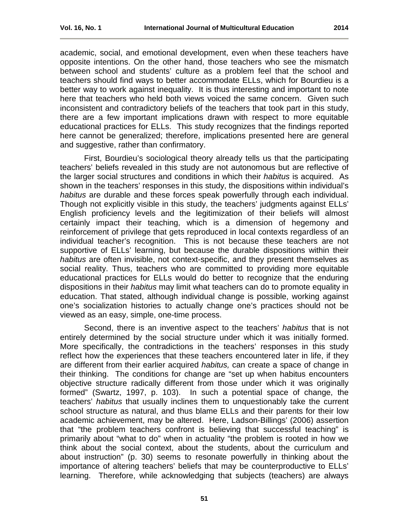academic, social, and emotional development, even when these teachers have opposite intentions. On the other hand, those teachers who see the mismatch between school and students' culture as a problem feel that the school and teachers should find ways to better accommodate ELLs, which for Bourdieu is a better way to work against inequality. It is thus interesting and important to note here that teachers who held both views voiced the same concern. Given such inconsistent and contradictory beliefs of the teachers that took part in this study, there are a few important implications drawn with respect to more equitable educational practices for ELLs. This study recognizes that the findings reported here cannot be generalized; therefore, implications presented here are general and suggestive, rather than confirmatory.

First, Bourdieu's sociological theory already tells us that the participating teachers' beliefs revealed in this study are not autonomous but are reflective of the larger social structures and conditions in which their *habitus* is acquired. As shown in the teachers' responses in this study, the dispositions within individual's *habitus* are durable and these forces speak powerfully through each individual. Though not explicitly visible in this study, the teachers' judgments against ELLs' English proficiency levels and the legitimization of their beliefs will almost certainly impact their teaching, which is a dimension of hegemony and reinforcement of privilege that gets reproduced in local contexts regardless of an individual teacher's recognition. This is not because these teachers are not supportive of ELLs' learning, but because the durable dispositions within their *habitus* are often invisible, not context-specific, and they present themselves as social reality. Thus, teachers who are committed to providing more equitable educational practices for ELLs would do better to recognize that the enduring dispositions in their *habitus* may limit what teachers can do to promote equality in education. That stated, although individual change is possible, working against one's socialization histories to actually change one's practices should not be viewed as an easy, simple, one-time process.

Second, there is an inventive aspect to the teachers' *habitus* that is not entirely determined by the social structure under which it was initially formed. More specifically, the contradictions in the teachers' responses in this study reflect how the experiences that these teachers encountered later in life, if they are different from their earlier acquired *habitus,* can create a space of change in their thinking. The conditions for change are "set up when habitus encounters objective structure radically different from those under which it was originally formed" (Swartz, 1997, p. 103). In such a potential space of change, the teachers' *habitus* that usually inclines them to unquestionably take the current school structure as natural, and thus blame ELLs and their parents for their low academic achievement, may be altered. Here, Ladson-Billings' (2006) assertion that "the problem teachers confront is believing that successful teaching" is primarily about "what to do" when in actuality "the problem is rooted in how we think about the social context, about the students, about the curriculum and about instruction" (p. 30) seems to resonate powerfully in thinking about the importance of altering teachers' beliefs that may be counterproductive to ELLs' learning. Therefore, while acknowledging that subjects (teachers) are always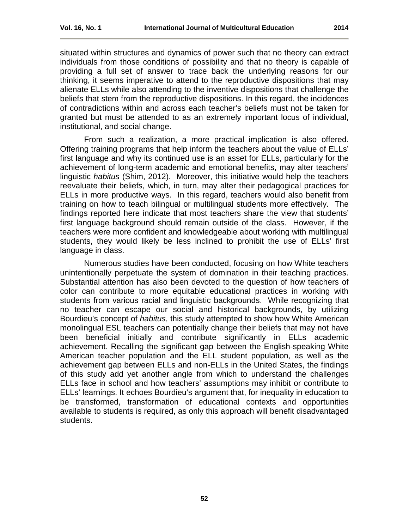situated within structures and dynamics of power such that no theory can extract individuals from those conditions of possibility and that no theory is capable of providing a full set of answer to trace back the underlying reasons for our thinking, it seems imperative to attend to the reproductive dispositions that may alienate ELLs while also attending to the inventive dispositions that challenge the beliefs that stem from the reproductive dispositions. In this regard, the incidences of contradictions within and across each teacher's beliefs must not be taken for granted but must be attended to as an extremely important locus of individual, institutional, and social change.

From such a realization, a more practical implication is also offered. Offering training programs that help inform the teachers about the value of ELLs' first language and why its continued use is an asset for ELLs, particularly for the achievement of long-term academic and emotional benefits, may alter teachers' linguistic *habitus* (Shim, 2012). Moreover, this initiative would help the teachers reevaluate their beliefs, which, in turn, may alter their pedagogical practices for ELLs in more productive ways. In this regard, teachers would also benefit from training on how to teach bilingual or multilingual students more effectively. The findings reported here indicate that most teachers share the view that students' first language background should remain outside of the class. However, if the teachers were more confident and knowledgeable about working with multilingual students, they would likely be less inclined to prohibit the use of ELLs' first language in class.

<span id="page-12-0"></span>Numerous studies have been conducted, focusing on how White teachers unintentionally perpetuate the system of domination in their teaching practices. Substantial attention has also been devoted to the question of how teachers of color can contribute to more equitable educational practices in working with students from various racial and linguistic backgrounds. While recognizing that no teacher can escape our social and historical backgrounds, by utilizing Bourdieu's concept of *habitus*, this study attempted to show how White American monolingual ESL teachers can potentially change their beliefs that may not have been beneficial initially and contribute significantly in ELLs academic achievement. Recalling the significant gap between the English-speaking White American teacher population and the ELL student population, as well as the achievement gap between ELLs and non-ELLs in the United States, the findings of this study add yet another angle from which to understand the challenges ELLs face in school and how teachers' assumptions may inhibit or contribute to ELLs' learnings. It echoes Bourdieu's argument that, for inequality in education to be transformed, transformation of educational contexts and opportunities available to students is required, as only this approach will benefit disadvantaged students.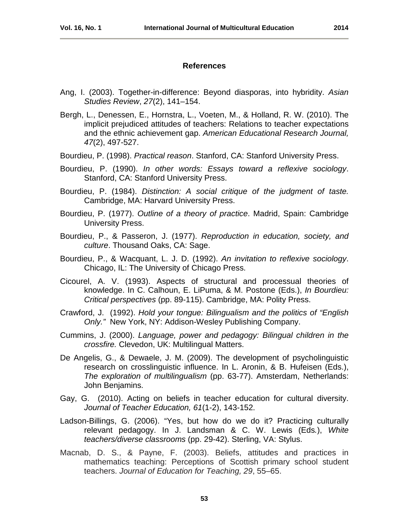### **References**

- Ang, I. (2003). Together-in-difference: Beyond diasporas, into hybridity. *Asian Studies Review*, *27*(2), 141–154.
- Bergh, L., Denessen, E., Hornstra, L., Voeten, M., & Holland, R. W. (2010). The implicit prejudiced attitudes of teachers: Relations to teacher expectations and the ethnic achievement gap. *American Educational Research Journal, 47*(2), 497-527.
- Bourdieu, P. (1998). *Practical reason*. Stanford, CA: Stanford University Press.
- Bourdieu, P. (1990). *In other words: Essays toward a reflexive sociology*. Stanford, CA: Stanford University Press.
- Bourdieu, P. (1984). *Distinction: A social critique of the judgment of taste.* Cambridge, MA: Harvard University Press.
- Bourdieu, P. (1977). *Outline of a theory of practice*. Madrid, Spain: Cambridge University Press.
- Bourdieu, P., & Passeron, J. (1977). *Reproduction in education, society, and culture*. Thousand Oaks, CA: Sage.
- Bourdieu, P., & Wacquant, L. J. D. (1992). *An invitation to reflexive sociology*. Chicago, IL: The University of Chicago Press.
- Cicourel, A. V. (1993). Aspects of structural and processual theories of knowledge. In C. Calhoun, E. LiPuma, & M. Postone (Eds.), *In Bourdieu: Critical perspectives* (pp. 89-115). Cambridge, MA: Polity Press.
- Crawford, J. (1992). *Hold your tongue: Bilingualism and the politics of "English Only."* New York, NY: Addison-Wesley Publishing Company.
- Cummins, J. (2000). *Language, power and pedagogy: Bilingual children in the crossfire.* Clevedon, UK: Multilingual Matters.
- De Angelis, G., & Dewaele, J. M. (2009). The development of psycholinguistic research on crosslinguistic influence. In L. Aronin, & B. Hufeisen (Eds.), *The exploration of multilingualism* (pp. 63-77). Amsterdam, Netherlands: John Benjamins.
- Gay, G. (2010). Acting on beliefs in teacher education for cultural diversity. *Journal of Teacher Education, 61*(1-2), 143-152.
- Ladson-Billings, G. (2006). "Yes, but how do we do it? Practicing culturally relevant pedagogy. In J. Landsman & C. W. Lewis (Eds*.*), *White teachers/diverse classrooms* (pp. 29-42). Sterling, VA: Stylus.
- Macnab, D. S., & Payne, F. (2003). Beliefs, attitudes and practices in mathematics teaching: Perceptions of Scottish primary school student teachers. *Journal of Education for Teaching, 29*, 55–65.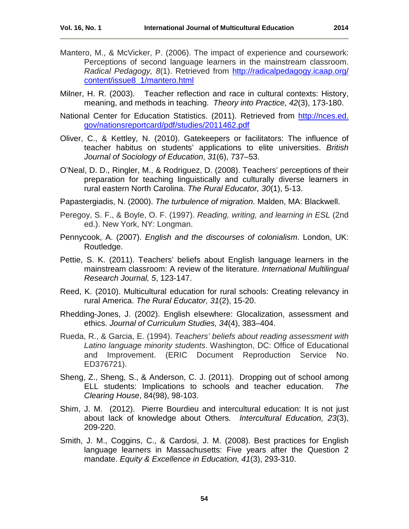- Mantero, M., & McVicker, P. (2006). The impact of experience and coursework: Perceptions of second language learners in the mainstream classroom. *Radical Pedagogy, 8*(1). Retrieved from [http://radicalpedagogy.icaap.org/](http://radicalpedagogy.icaap.org/%20content/issue8_1/mantero.html) [content/issue8\\_1/mantero.html](http://radicalpedagogy.icaap.org/%20content/issue8_1/mantero.html)
- Milner, H. R. (2003). Teacher reflection and race in cultural contexts: History, meaning, and methods in teaching. *Theory into Practice, 42*(3), 173-180.
- National Center for Education Statistics. (2011). Retrieved from http://nces.ed. gov/nationsreportcard/pdf/studies/2011462.pdf
- Oliver, C., & Kettley, N. (2010). Gatekeepers or facilitators: The influence of teacher habitus on students' applications to elite universities. *British Journal of Sociology of Education*, *31*(6), 737–53.
- O'Neal, D. D., Ringler, M., & Rodriguez, D. (2008). Teachers' perceptions of their preparation for teaching linguistically and culturally diverse learners in rural eastern North Carolina. *The Rural Educator, 30*(1), 5-13.
- Papastergiadis, N. (2000). *The turbulence of migration.* Malden, MA: Blackwell.
- Peregoy, S. F., & Boyle, O. F. (1997). *Reading, writing, and learning in ESL* (2nd ed.). New York, NY: Longman.
- Pennycook, A. (2007). *English and the discourses of colonialism*. London, UK: Routledge.
- Pettie, S. K. (2011). Teachers' beliefs about English language learners in the mainstream classroom: A review of the literature. *International Multilingual Research Journal, 5*, 123-147.
- Reed, K. (2010). Multicultural education for rural schools: Creating relevancy in rural America. *The Rural Educator, 31*(2), 15-20.
- Rhedding-Jones, J. (2002). English elsewhere: Glocalization, assessment and ethics. *Journal of Curriculum Studies, 34*(4), 383–404.
- Rueda, R., & Garcia, E. (1994). *Teachers' beliefs about reading assessment with Latino language minority students*. Washington, DC: Office of Educational and Improvement. (ERIC Document Reproduction Service No. ED376721).
- Sheng, Z., Sheng, S., & Anderson, C. J. (2011). Dropping out of school among ELL students: Implications to schools and teacher education. *The Clearing House*, 84(98), 98-103.
- Shim, J. M. (2012). Pierre Bourdieu and intercultural education: It is not just about lack of knowledge about Others*. Intercultural Education, 23*(3), 209-220.
- Smith, J. M., Coggins, C., & Cardosi, J. M. (2008). Best practices for English language learners in Massachusetts: Five years after the Question 2 mandate. *Equity & Excellence in Education, 41*(3), 293-310.